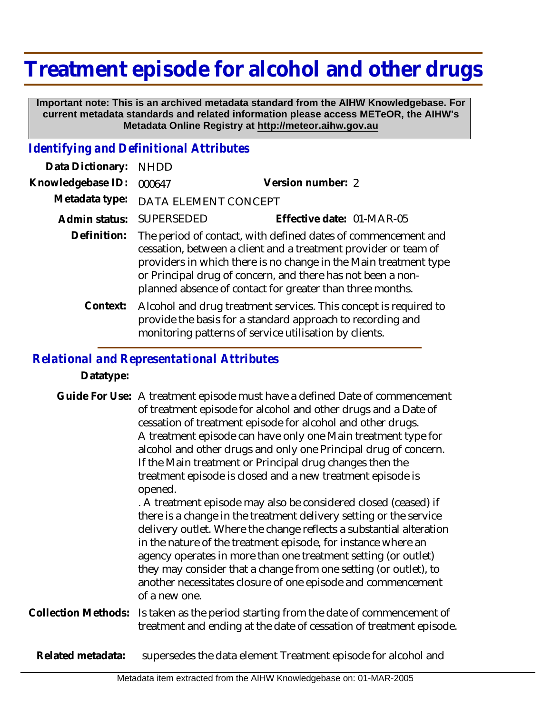# **Treatment episode for alcohol and other drugs**

 **Important note: This is an archived metadata standard from the AIHW Knowledgebase. For current metadata standards and related information please access METeOR, the AIHW's Metadata Online Registry at http://meteor.aihw.gov.au**

### *Identifying and Definitional Attributes*

| Data Dictionary:  | <b>NHDD</b>                                                                                                                                                                                                                                                                                                                      |                                                                                                                                                                                          |
|-------------------|----------------------------------------------------------------------------------------------------------------------------------------------------------------------------------------------------------------------------------------------------------------------------------------------------------------------------------|------------------------------------------------------------------------------------------------------------------------------------------------------------------------------------------|
| Knowledgebase ID: | 000647                                                                                                                                                                                                                                                                                                                           | Version number: 2                                                                                                                                                                        |
| Metadata type:    | DATA ELEMENT CONCEPT                                                                                                                                                                                                                                                                                                             |                                                                                                                                                                                          |
| Admin status:     | SUPERSEDED                                                                                                                                                                                                                                                                                                                       | Effective date: 01-MAR-05                                                                                                                                                                |
| Definition:       | The period of contact, with defined dates of commencement and<br>cessation, between a client and a treatment provider or team of<br>providers in which there is no change in the Main treatment type<br>or Principal drug of concern, and there has not been a non-<br>planned absence of contact for greater than three months. |                                                                                                                                                                                          |
| Context:          |                                                                                                                                                                                                                                                                                                                                  | Alcohol and drug treatment services. This concept is required to<br>provide the basis for a standard approach to recording and<br>monitoring patterns of service utilisation by clients. |

### *Relational and Representational Attributes*

**Datatype:**

|                     | Guide For Use: A treatment episode must have a defined Date of commencement<br>of treatment episode for alcohol and other drugs and a Date of<br>cessation of treatment episode for alcohol and other drugs.<br>A treatment episode can have only one Main treatment type for<br>alcohol and other drugs and only one Principal drug of concern.<br>If the Main treatment or Principal drug changes then the<br>treatment episode is closed and a new treatment episode is<br>opened.<br>. A treatment episode may also be considered closed (ceased) if<br>there is a change in the treatment delivery setting or the service<br>delivery outlet. Where the change reflects a substantial alteration<br>in the nature of the treatment episode, for instance where an<br>agency operates in more than one treatment setting (or outlet)<br>they may consider that a change from one setting (or outlet), to<br>another necessitates closure of one episode and commencement<br>of a new one. |
|---------------------|-----------------------------------------------------------------------------------------------------------------------------------------------------------------------------------------------------------------------------------------------------------------------------------------------------------------------------------------------------------------------------------------------------------------------------------------------------------------------------------------------------------------------------------------------------------------------------------------------------------------------------------------------------------------------------------------------------------------------------------------------------------------------------------------------------------------------------------------------------------------------------------------------------------------------------------------------------------------------------------------------|
| Collection Methods: | Is taken as the period starting from the date of commencement of<br>treatment and ending at the date of cessation of treatment episode.                                                                                                                                                                                                                                                                                                                                                                                                                                                                                                                                                                                                                                                                                                                                                                                                                                                       |
| Related metadata:   | supersedes the data element Treatment episode for alcohol and                                                                                                                                                                                                                                                                                                                                                                                                                                                                                                                                                                                                                                                                                                                                                                                                                                                                                                                                 |